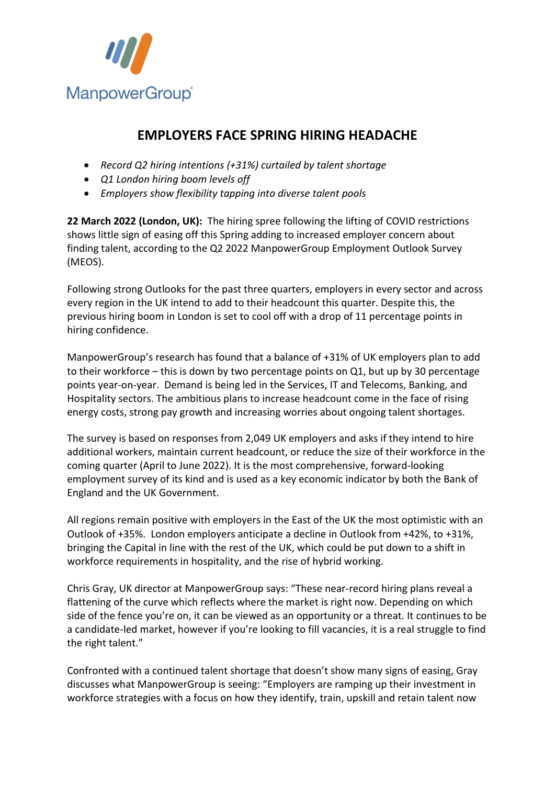

## **EMPLOYERS FACE SPRING HIRING HEADACHE**

- *Record Q2 hiring intentions (+31%) curtailed by talent shortage*
- *Q1 London hiring boom levels off*
- *Employers show flexibility tapping into diverse talent pools*

**22 March 2022 (London, UK):** The hiring spree following the lifting of COVID restrictions shows little sign of easing off this Spring adding to increased employer concern about finding talent, according to the Q2 2022 ManpowerGroup Employment Outlook Survey (MEOS).

Following strong Outlooks for the past three quarters, employers in every sector and across every region in the UK intend to add to their headcount this quarter. Despite this, the previous hiring boom in London is set to cool off with a drop of 11 percentage points in hiring confidence.

ManpowerGroup's research has found that a balance of +31% of UK employers plan to add to their workforce – this is down by two percentage points on Q1, but up by 30 percentage points year-on-year. Demand is being led in the Services, IT and Telecoms, Banking, and Hospitality sectors. The ambitious plans to increase headcount come in the face of rising energy costs, strong pay growth and increasing worries about ongoing talent shortages.

The survey is based on responses from 2,049 UK employers and asks if they intend to hire additional workers, maintain current headcount, or reduce the size of their workforce in the coming quarter (April to June 2022). It is the most comprehensive, forward-looking employment survey of its kind and is used as a key economic indicator by both the Bank of England and the UK Government.

All regions remain positive with employers in the East of the UK the most optimistic with an Outlook of +35%. London employers anticipate a decline in Outlook from +42%, to +31%, bringing the Capital in line with the rest of the UK, which could be put down to a shift in workforce requirements in hospitality, and the rise of hybrid working.

Chris Gray, UK director at ManpowerGroup says: "These near-record hiring plans reveal a flattening of the curve which reflects where the market is right now. Depending on which side of the fence you're on, it can be viewed as an opportunity or a threat. It continues to be a candidate-led market, however if you're looking to fill vacancies, it is a real struggle to find the right talent."

Confronted with a continued talent shortage that doesn't show many signs of easing, Gray discusses what ManpowerGroup is seeing: "Employers are ramping up their investment in workforce strategies with a focus on how they identify, train, upskill and retain talent now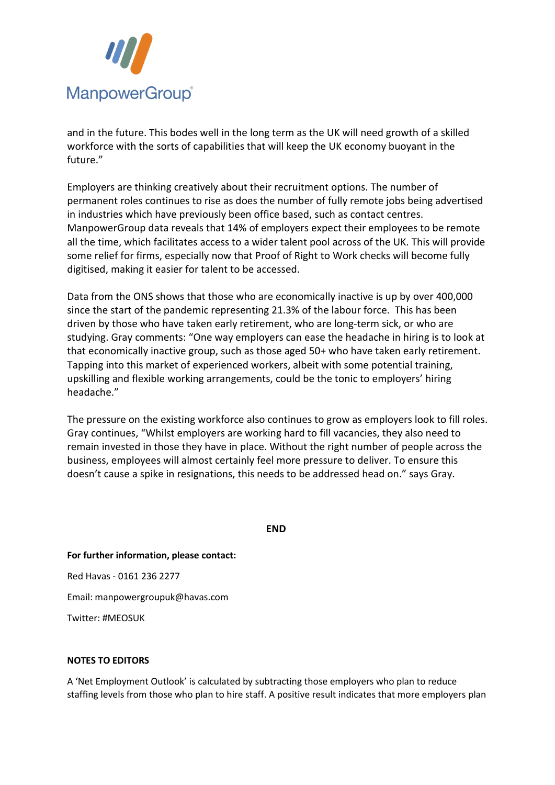

and in the future. This bodes well in the long term as the UK will need growth of a skilled workforce with the sorts of capabilities that will keep the UK economy buoyant in the future."

Employers are thinking creatively about their recruitment options. The number of permanent roles continues to rise as does the number of fully remote jobs being advertised in industries which have previously been office based, such as contact centres. ManpowerGroup data reveals that 14% of employers expect their employees to be remote all the time, which facilitates access to a wider talent pool across of the UK. This will provide some relief for firms, especially now that Proof of Right to Work checks will become fully digitised, making it easier for talent to be accessed.

Data from the ONS shows that those who are economically inactive is up by over 400,000 since the start of the pandemic representing 21.3% of the labour force. This has been driven by those who have taken early retirement, who are long-term sick, or who are studying. Gray comments: "One way employers can ease the headache in hiring is to look at that economically inactive group, such as those aged 50+ who have taken early retirement. Tapping into this market of experienced workers, albeit with some potential training, upskilling and flexible working arrangements, could be the tonic to employers' hiring headache."

The pressure on the existing workforce also continues to grow as employers look to fill roles. Gray continues, "Whilst employers are working hard to fill vacancies, they also need to remain invested in those they have in place. Without the right number of people across the business, employees will almost certainly feel more pressure to deliver. To ensure this doesn't cause a spike in resignations, this needs to be addressed head on." says Gray.

**END**

**For further information, please contact:** 

Red Havas - 0161 236 2277

Email: manpowergroupuk@havas.com

Twitter: #MEOSUK

## **NOTES TO EDITORS**

A 'Net Employment Outlook' is calculated by subtracting those employers who plan to reduce staffing levels from those who plan to hire staff. A positive result indicates that more employers plan